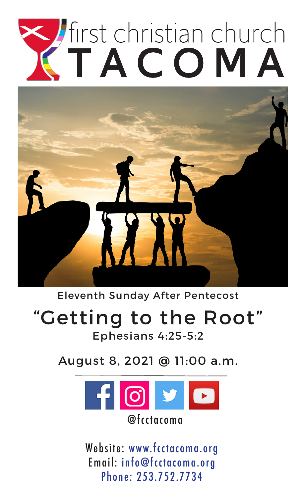# First christian church



Eleventh Sunday After Pentecost

# "Getting to the Root"

Ephesians 4:25-5:2

August 8, 2021 @ 11:00 a.m.



Website: www.fcctacoma.org Email: info@fcctacoma.org Phone: 253.752.7734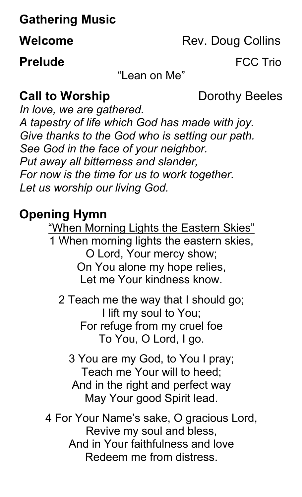## **Gathering Music**

## **Welcome** Rev. Doug Collins

**Prelude FCC Trio** 

"Lean on Me"

## **Call to Worship**  Dorothy Beeles

*In love, we are gathered. A tapestry of life which God has made with joy. Give thanks to the God who is setting our path. See God in the face of your neighbor. Put away all bitterness and slander, For now is the time for us to work together. Let us worship our living God.*

## **Opening Hymn**

"When Morning Lights the Eastern Skies"

1 When morning lights the eastern skies, O Lord, Your mercy show; On You alone my hope relies, Let me Your kindness know.

2 Teach me the way that I should go; I lift my soul to You; For refuge from my cruel foe To You, O Lord, I go.

3 You are my God, to You I pray; Teach me Your will to heed; And in the right and perfect way May Your good Spirit lead.

4 For Your Name's sake, O gracious Lord, Revive my soul and bless, And in Your faithfulness and love Redeem me from distress.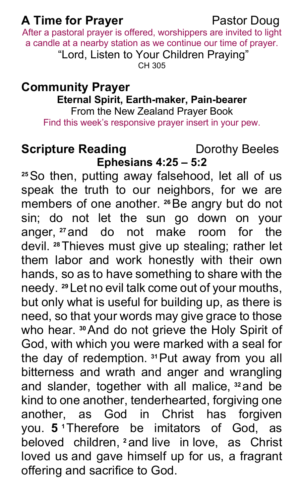## **A Time for Prayer** Pastor Doug

After a pastoral prayer is offered, worshippers are invited to light a candle at a nearby station as we continue our time of prayer.

"Lord, Listen to Your Children Praying"

CH 305

# **Community Prayer Eternal Spirit, Earth-maker, Pain-bearer**

From the New Zealand Prayer Book Find this week's responsive prayer insert in your pew.

## **Scripture Reading business Constructs** Dorothy Beeles **Ephesians 4:25 – 5:2**

**<sup>25</sup>**So then, putting away falsehood, let all of us speak the truth to our neighbors, for we are members of one another. **<sup>26</sup>**Be angry but do not sin; do not let the sun go down on your anger, **<sup>27</sup>** and do not make room for the devil. **<sup>28</sup>**Thieves must give up stealing; rather let them labor and work honestly with their own hands, so as to have something to share with the needy. **<sup>29</sup>** Let no evil talk come out of your mouths, but only what is useful for building up, as there is need, so that your words may give grace to those who hear. **<sup>30</sup>**And do not grieve the Holy Spirit of God, with which you were marked with a seal for the day of redemption. **<sup>31</sup>**Put away from you all bitterness and wrath and anger and wrangling and slander, together with all malice, **<sup>32</sup>** and be kind to one another, tenderhearted, forgiving one another, as God in Christ has forgiven you. **5 <sup>1</sup>**Therefore be imitators of God, as beloved children, **<sup>2</sup>** and live in love, as Christ loved us and gave himself up for us, a fragrant offering and sacrifice to God.